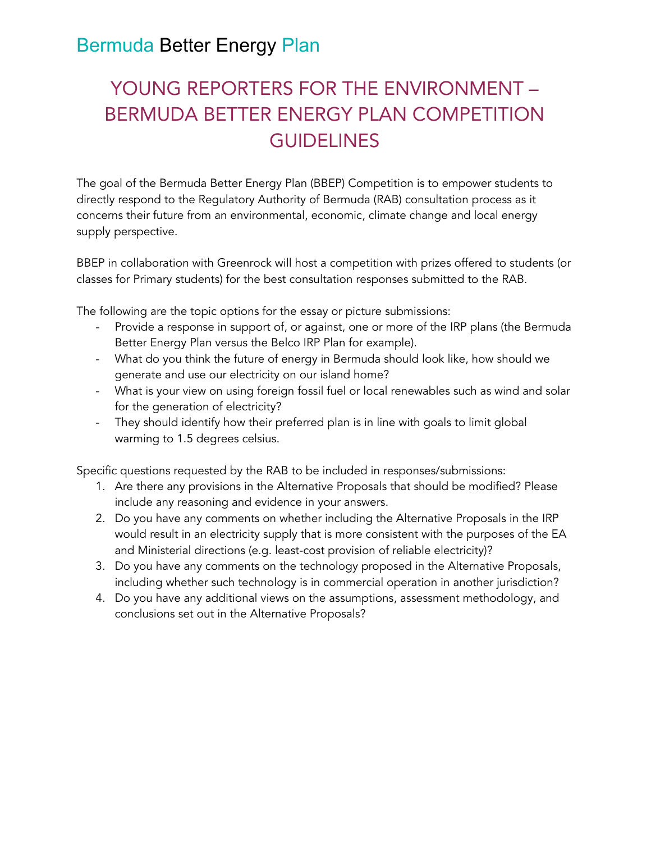# YOUNG REPORTERS FOR THE ENVIRONMENT – BERMUDA BETTER ENERGY PLAN COMPETITION **GUIDELINES**

The goal of the Bermuda Better Energy Plan (BBEP) Competition is to empower students to directly respond to the Regulatory Authority of Bermuda (RAB) consultation process as it concerns their future from an environmental, economic, climate change and local energy supply perspective.

BBEP in collaboration with Greenrock will host a competition with prizes offered to students (or classes for Primary students) for the best consultation responses submitted to the RAB.

The following are the topic options for the essay or picture submissions:

- Provide a response in support of, or against, one or more of the IRP plans (the Bermuda Better Energy Plan versus the Belco IRP Plan for example).
- What do you think the future of energy in Bermuda should look like, how should we generate and use our electricity on our island home?
- What is your view on using foreign fossil fuel or local renewables such as wind and solar for the generation of electricity?
- They should identify how their preferred plan is in line with goals to limit global warming to 1.5 degrees celsius.

Specific questions requested by the RAB to be included in responses/submissions:

- 1. Are there any provisions in the Alternative Proposals that should be modified? Please include any reasoning and evidence in your answers.
- 2. Do you have any comments on whether including the Alternative Proposals in the IRP would result in an electricity supply that is more consistent with the purposes of the EA and Ministerial directions (e.g. least-cost provision of reliable electricity)?
- 3. Do you have any comments on the technology proposed in the Alternative Proposals, including whether such technology is in commercial operation in another jurisdiction?
- 4. Do you have any additional views on the assumptions, assessment methodology, and conclusions set out in the Alternative Proposals?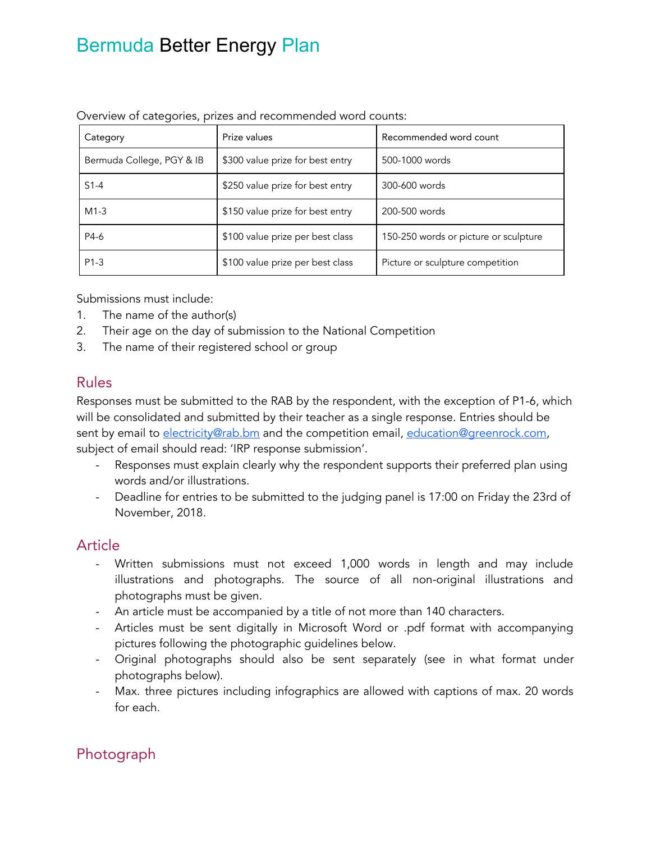| Category                  | Prize values                     | Recommended word count                |
|---------------------------|----------------------------------|---------------------------------------|
| Bermuda College, PGY & IB | \$300 value prize for best entry | 500-1000 words                        |
| $S1-4$                    | \$250 value prize for best entry | 300-600 words                         |
| $M1-3$                    | \$150 value prize for best entry | 200-500 words                         |
| P4-6                      | \$100 value prize per best class | 150-250 words or picture or sculpture |
| $P1-3$                    | \$100 value prize per best class | Picture or sculpture competition      |

Overview of categories, prizes and recommended word counts:

Submissions must include:

- 1. The name of the author(s)
- 2. Their age on the day of submission to the National Competition
- 3. The name of their registered school or group

#### Rules

Responses must be submitted to the RAB by the respondent, with the exception of P1-6, which will be consolidated and submitted by their teacher as a single response. Entries should be sent by email to [electricity@rab.bm](mailto:electricity@rab.bm) and the competition email, [education@greenrock.com](mailto:education@greenrock.com), subject of email should read: 'IRP response submission'.

- Responses must explain clearly why the respondent supports their preferred plan using words and/or illustrations.
- Deadline for entries to be submitted to the judging panel is 17:00 on Friday the 23rd of November, 2018.

### Article

- Written submissions must not exceed 1,000 words in length and may include illustrations and photographs. The source of all non-original illustrations and photographs must be given.
- An article must be accompanied by a title of not more than 140 characters.
- Articles must be sent digitally in Microsoft Word or .pdf format with accompanying pictures following the photographic guidelines below.
- Original photographs should also be sent separately (see in what format under photographs below).
- Max. three pictures including infographics are allowed with captions of max. 20 words for each.

### Photograph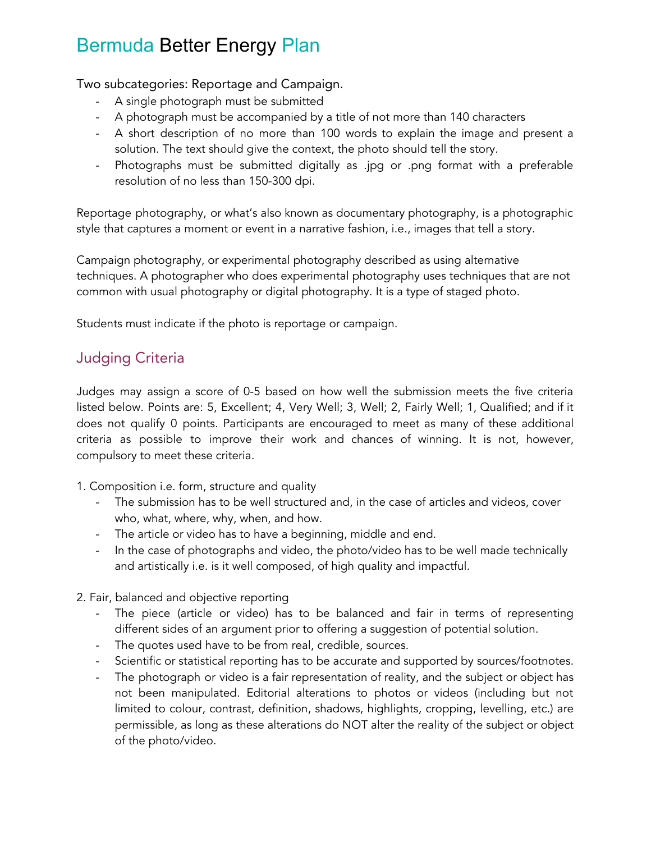Two subcategories: Reportage and Campaign.

- A single photograph must be submitted
- A photograph must be accompanied by a title of not more than 140 characters
- A short description of no more than 100 words to explain the image and present a solution. The text should give the context, the photo should tell the story.
- Photographs must be submitted digitally as .jpg or .png format with a preferable resolution of no less than 150-300 dpi.

Reportage photography, or what's also known as documentary photography, is a photographic style that captures a moment or event in a narrative fashion, i.e., images that tell a story.

Campaign photography, or experimental photography described as using alternative techniques. A photographer who does experimental photography uses techniques that are not common with usual photography or digital photography. It is a type of staged photo.

Students must indicate if the photo is reportage or campaign.

### Judging Criteria

Judges may assign a score of 0-5 based on how well the submission meets the five criteria listed below. Points are: 5, Excellent; 4, Very Well; 3, Well; 2, Fairly Well; 1, Qualified; and if it does not qualify 0 points. Participants are encouraged to meet as many of these additional criteria as possible to improve their work and chances of winning. It is not, however, compulsory to meet these criteria.

- 1. Composition i.e. form, structure and quality
	- The submission has to be well structured and, in the case of articles and videos, cover who, what, where, why, when, and how.
	- The article or video has to have a beginning, middle and end.
	- In the case of photographs and video, the photo/video has to be well made technically and artistically i.e. is it well composed, of high quality and impactful.
- 2. Fair, balanced and objective reporting
	- The piece (article or video) has to be balanced and fair in terms of representing different sides of an argument prior to offering a suggestion of potential solution.
	- The quotes used have to be from real, credible, sources.
	- Scientific or statistical reporting has to be accurate and supported by sources/footnotes.
	- The photograph or video is a fair representation of reality, and the subject or object has not been manipulated. Editorial alterations to photos or videos (including but not limited to colour, contrast, definition, shadows, highlights, cropping, levelling, etc.) are permissible, as long as these alterations do NOT alter the reality of the subject or object of the photo/video.